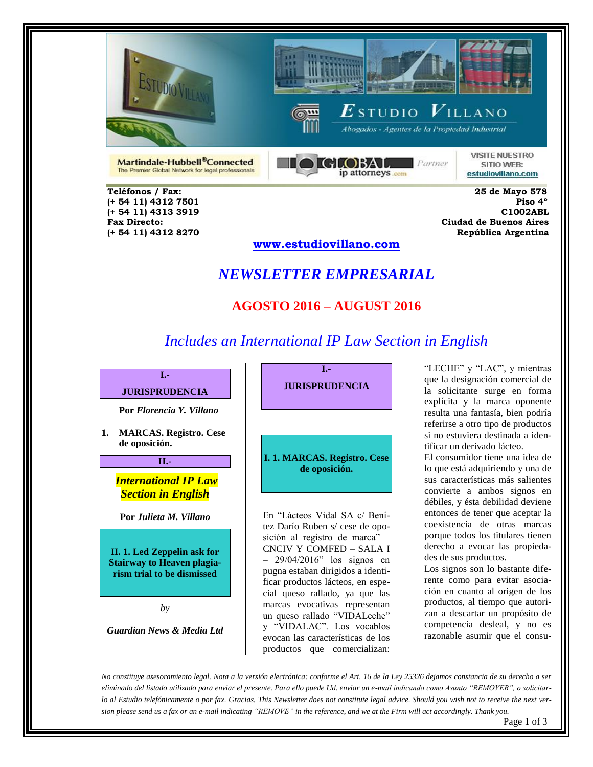





Martindale-Hubbell®Connected The Premier Global Network for legal professionals



 $\boldsymbol{E}$ studio  $\boldsymbol{V}$ illano .<br>Abogados - Agentes de la Propiedad Industrial

> **VISITE NUESTRO** SITIO WEB: estudiovillano.com

 **Teléfonos / Fax: 25 de Mayo 578 (+ 54 11) 4313 3919 C1002ABL** 

 **(+ 54 11) 4312 7501 Piso 4º Fax Directo: Ciudad de Buenos Aires (+ 54 11) 4312 8270 República Argentina** 

#### **www.estudiovillano.com**

### *NEWSLETTER EMPRESARIAL*

#### **AGOSTO 2016 – AUGUST 2016**

# *Includes an International IP Law Section in English*



**Por** *Florencia Y. Villano*

**1. MARCAS. Registro. Cese de oposición.** 

**II.-**

*International IP Law Section in English*

**Por** *Julieta M. Villano*

**II. 1. Led Zeppelin ask for Stairway to Heaven plagiarism trial to be dismissed** 

*by*

*Guardian News & Media Ltd*

**I.- JURISPRUDENCIA**

#### **I. 1. MARCAS. Registro. Cese de oposición.**

En "Lácteos Vidal SA c/ Benítez Darío Ruben s/ cese de oposición al registro de marca" – CNCIV Y COMFED – SALA I – 29/04/2016" los signos en pugna estaban dirigidos a identificar productos lácteos, en especial queso rallado, ya que las marcas evocativas representan un queso rallado "VIDALeche" y "VIDALAC". Los vocablos evocan las características de los productos que comercializan:

"LECHE" y "LAC", y mientras que la designación comercial de la solicitante surge en forma explícita y la marca oponente resulta una fantasía, bien podría referirse a otro tipo de productos si no estuviera destinada a identificar un derivado lácteo.

El consumidor tiene una idea de lo que está adquiriendo y una de sus características más salientes convierte a ambos signos en débiles, y ésta debilidad deviene entonces de tener que aceptar la coexistencia de otras marcas porque todos los titulares tienen derecho a evocar las propiedades de sus productos.

Los signos son lo bastante diferente como para evitar asociación en cuanto al origen de los productos, al tiempo que autorizan a descartar un propósito de competencia desleal, y no es razonable asumir que el consu-

*No constituye asesoramiento legal. Nota a la versión electrónica: conforme el Art. 16 de la Ley 25326 dejamos constancia de su derecho a ser eliminado del listado utilizado para enviar el presente. Para ello puede Ud. enviar un e-mail indicando como Asunto "REMOVER", o solicitarlo al Estudio telefónicamente o por fax. Gracias. This Newsletter does not constitute legal advice. Should you wish not to receive the next version please send us a fax or an e-mail indicating "REMOVE" in the reference, and we at the Firm will act accordingly. Thank you.*

*\_\_\_\_\_\_\_\_\_\_\_\_\_\_\_\_\_\_\_\_\_\_\_\_\_\_\_\_\_\_\_\_\_\_\_\_\_\_\_\_\_\_\_\_\_\_\_\_\_\_\_\_\_\_\_\_\_\_\_\_\_\_\_\_\_\_\_\_\_\_\_\_\_\_\_\_\_\_\_\_\_\_\_\_\_\_\_\_\_\_\_\_\_\_\_\_\_\_\_\_\_\_\_\_\_\_*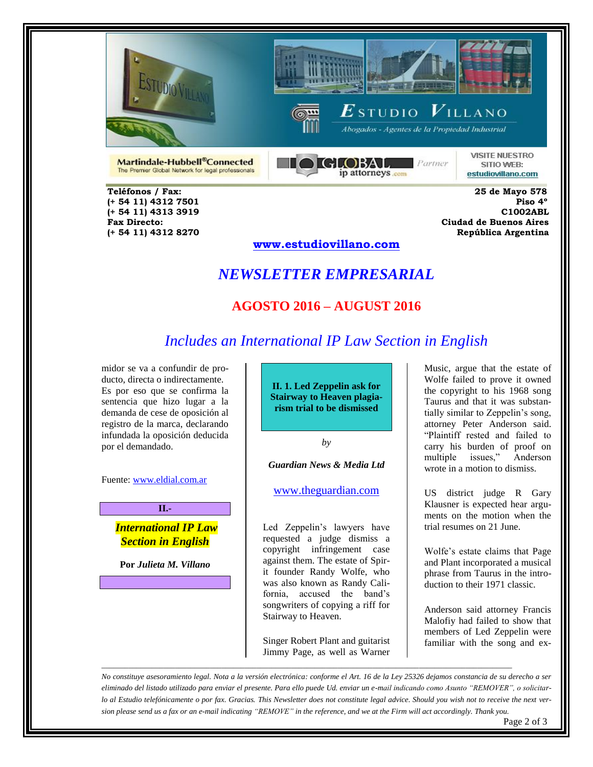



GLOBAL Partner

ip attorneys com

 $\boldsymbol{E}$ studio  $\boldsymbol{V}$ illano Abogados - Agentes de la Propiedad Industrial



**VISITE NUESTRO** SITIO WEB: estudiovillano.com

The Premier Global Network for legal professionals  **Teléfonos / Fax: 25 de Mayo 578** 

Martindale-Hubbell®Connected

 **(+ 54 11) 4313 3919 C1002ABL** 

 **(+ 54 11) 4312 7501 Piso 4º Fax Directo: Ciudad de Buenos Aires (+ 54 11) 4312 8270 República Argentina** 

**www.estudiovillano.com**

# *NEWSLETTER EMPRESARIAL*

# **AGOSTO 2016 – AUGUST 2016**

# *Includes an International IP Law Section in English*

midor se va a confundir de producto, directa o indirectamente. Es por eso que se confirma la sentencia que hizo lugar a la demanda de cese de oposición al registro de la marca, declarando infundada la oposición deducida por el demandado.

Fuente: [www.eldial.com.ar](http://www.eldial.com.ar/)

*International IP Law Section in English*

**II.-**

**Por** *Julieta M. Villano*

**II. 1. Led Zeppelin ask for Stairway to Heaven plagiarism trial to be dismissed**

*by*

*Guardian News & Media Ltd*

[www.theguardian.com](http://www.theguardian.com/)

Led Zeppelin's lawyers have requested a judge dismiss a copyright infringement case against them. The estate of Spirit founder Randy Wolfe, who was also known as Randy California, accused the band's songwriters of copying a riff for Stairway to Heaven.

Singer Robert Plant and guitarist Jimmy Page, as well as Warner

*\_\_\_\_\_\_\_\_\_\_\_\_\_\_\_\_\_\_\_\_\_\_\_\_\_\_\_\_\_\_\_\_\_\_\_\_\_\_\_\_\_\_\_\_\_\_\_\_\_\_\_\_\_\_\_\_\_\_\_\_\_\_\_\_\_\_\_\_\_\_\_\_\_\_\_\_\_\_\_\_\_\_\_\_\_\_\_\_\_\_\_\_\_\_\_\_\_\_\_\_\_\_\_\_\_\_*

Music, argue that the estate of Wolfe failed to prove it owned the copyright to his 1968 song Taurus and that it was substantially similar to Zeppelin's song, attorney Peter Anderson said. "Plaintiff rested and failed to carry his burden of proof on multiple issues," Anderson wrote in a motion to dismiss.

US district judge R Gary Klausner is expected hear arguments on the motion when the trial resumes on 21 June.

Wolfe's estate claims that Page and Plant incorporated a musical phrase from Taurus in the introduction to their 1971 classic.

Anderson said attorney Francis Malofiy had failed to show that members of Led Zeppelin were familiar with the song and ex-

*No constituye asesoramiento legal. Nota a la versión electrónica: conforme el Art. 16 de la Ley 25326 dejamos constancia de su derecho a ser eliminado del listado utilizado para enviar el presente. Para ello puede Ud. enviar un e-mail indicando como Asunto "REMOVER", o solicitarlo al Estudio telefónicamente o por fax. Gracias. This Newsletter does not constitute legal advice. Should you wish not to receive the next version please send us a fax or an e-mail indicating "REMOVE" in the reference, and we at the Firm will act accordingly. Thank you.*